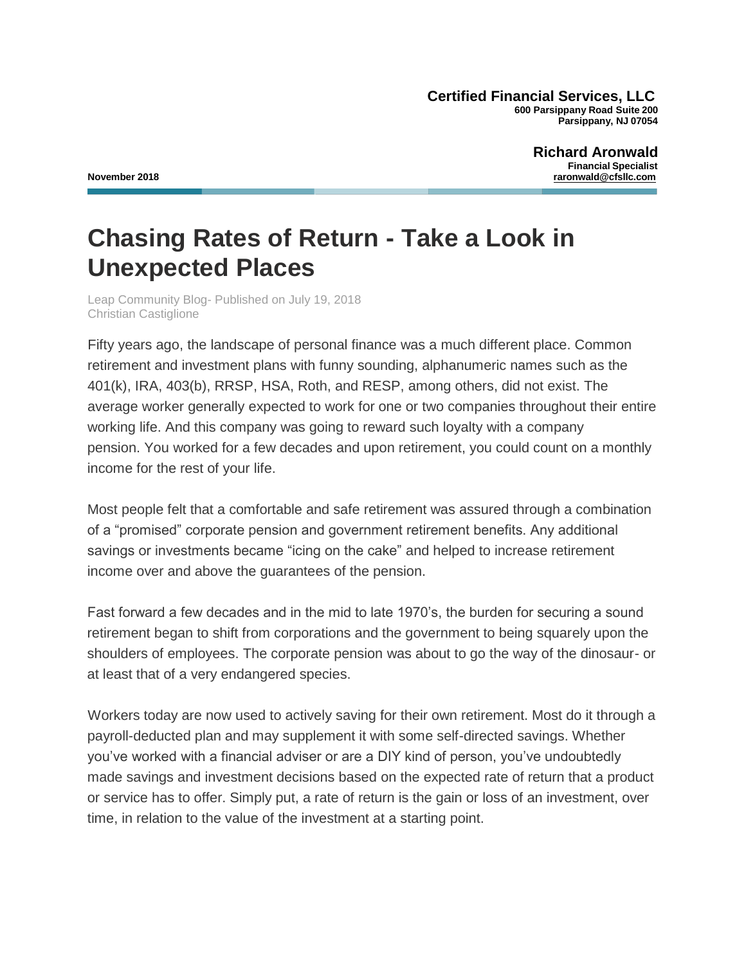**Certified Financial Services, LLC 600 Parsippany Road Suite 200 Parsippany, NJ 07054**

**Richard Aronwald Financial Specialist November 2018 raronwald@cfsllc.com**

## **Chasing Rates of Return - Take a Look in Unexpected Places**

Leap Community Blog- Published on July 19, 2018 [Christian Castiglione](https://www.leapcommunity.com/home/author/Christian-Castiglione)

Fifty years ago, the landscape of personal finance was a much different place. Common retirement and investment plans with funny sounding, alphanumeric names such as the 401(k), IRA, 403(b), RRSP, HSA, Roth, and RESP, among others, did not exist. The average worker generally expected to work for one or two companies throughout their entire working life. And this company was going to reward such loyalty with a company pension. You worked for a few decades and upon retirement, you could count on a monthly income for the rest of your life.

Most people felt that a comfortable and safe retirement was assured through a combination of a "promised" corporate pension and government retirement benefits. Any additional savings or investments became "icing on the cake" and helped to increase retirement income over and above the guarantees of the pension.

Fast forward a few decades and in the mid to late 1970's, the burden for securing a sound retirement began to shift from corporations and the government to being squarely upon the shoulders of employees. The corporate pension was about to go the way of the dinosaur- or at least that of a very endangered species.

Workers today are now used to actively saving for their own retirement. Most do it through a payroll-deducted plan and may supplement it with some self-directed savings. Whether you've worked with a financial adviser or are a DIY kind of person, you've undoubtedly made savings and investment decisions based on the expected rate of return that a product or service has to offer. Simply put, a rate of return is the gain or loss of an investment, over time, in relation to the value of the investment at a starting point.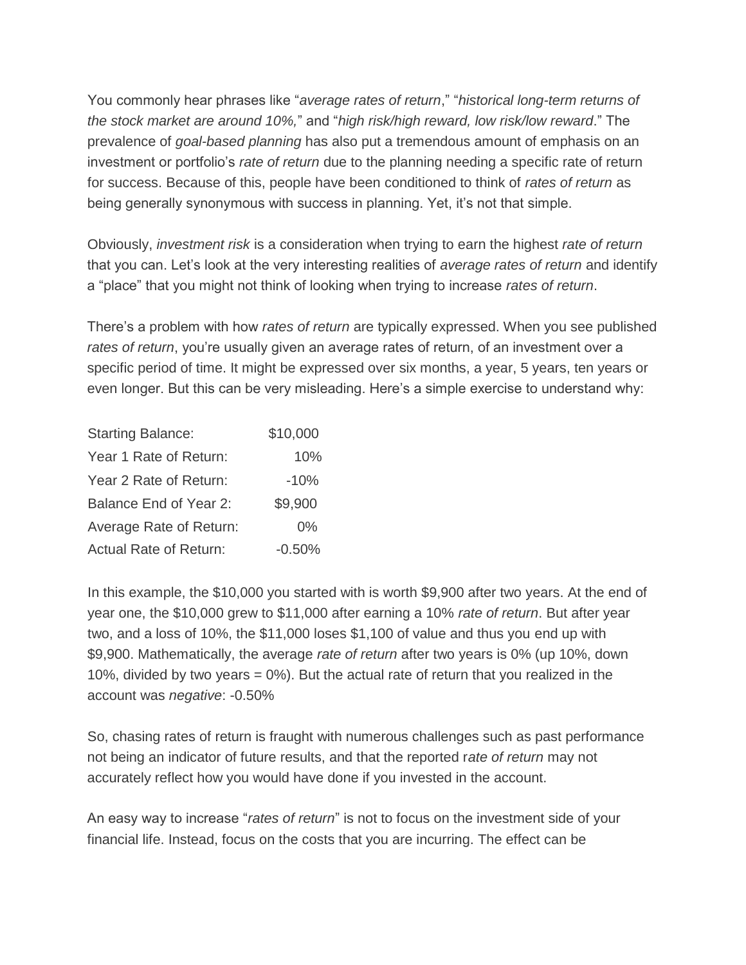You commonly hear phrases like "*average rates of return*," "*historical long-term returns of the stock market are around 10%,*" and "*high risk/high reward, low risk/low reward*." The prevalence of *goal-based planning* has also put a tremendous amount of emphasis on an investment or portfolio's *rate of return* due to the planning needing a specific rate of return for success. Because of this, people have been conditioned to think of *rates of return* as being generally synonymous with success in planning. Yet, it's not that simple.

Obviously, *investment risk* is a consideration when trying to earn the highest *rate of return*  that you can. Let's look at the very interesting realities of *average rates of return* and identify a "place" that you might not think of looking when trying to increase *rates of return*.

There's a problem with how *rates of return* are typically expressed. When you see published *rates of return*, you're usually given an average rates of return, of an investment over a specific period of time. It might be expressed over six months, a year, 5 years, ten years or even longer. But this can be very misleading. Here's a simple exercise to understand why:

| <b>Starting Balance:</b>      | \$10,000 |
|-------------------------------|----------|
| Year 1 Rate of Return:        | 10%      |
| Year 2 Rate of Return:        | $-10%$   |
| Balance End of Year 2:        | \$9,900  |
| Average Rate of Return:       | $0\%$    |
| <b>Actual Rate of Return:</b> | $-0.50%$ |

In this example, the \$10,000 you started with is worth \$9,900 after two years. At the end of year one, the \$10,000 grew to \$11,000 after earning a 10% *rate of return*. But after year two, and a loss of 10%, the \$11,000 loses \$1,100 of value and thus you end up with \$9,900. Mathematically, the average *rate of return* after two years is 0% (up 10%, down 10%, divided by two years  $= 0\%$ ). But the actual rate of return that you realized in the account was *negative*: -0.50%

So, chasing rates of return is fraught with numerous challenges such as past performance not being an indicator of future results, and that the reported r*ate of return* may not accurately reflect how you would have done if you invested in the account.

An easy way to increase "*rates of return*" is not to focus on the investment side of your financial life. Instead, focus on the costs that you are incurring. The effect can be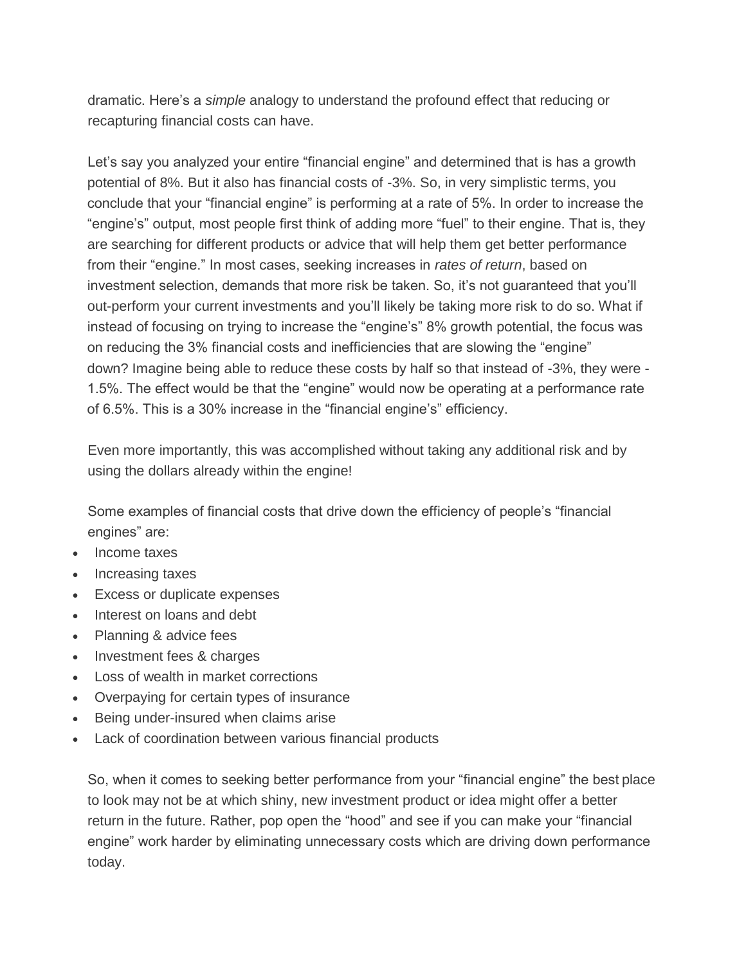dramatic. Here's a *simple* analogy to understand the profound effect that reducing or recapturing financial costs can have.

Let's say you analyzed your entire "financial engine" and determined that is has a growth potential of 8%. But it also has financial costs of -3%. So, in very simplistic terms, you conclude that your "financial engine" is performing at a rate of 5%. In order to increase the "engine's" output, most people first think of adding more "fuel" to their engine. That is, they are searching for different products or advice that will help them get better performance from their "engine." In most cases, seeking increases in *rates of return*, based on investment selection, demands that more risk be taken. So, it's not guaranteed that you'll out-perform your current investments and you'll likely be taking more risk to do so. What if instead of focusing on trying to increase the "engine's" 8% growth potential, the focus was on reducing the 3% financial costs and inefficiencies that are slowing the "engine" down? Imagine being able to reduce these costs by half so that instead of -3%, they were - 1.5%. The effect would be that the "engine" would now be operating at a performance rate of 6.5%. This is a 30% increase in the "financial engine's" efficiency.

Even more importantly, this was accomplished without taking any additional risk and by using the dollars already within the engine!

Some examples of financial costs that drive down the efficiency of people's "financial engines" are:

- Income taxes
- Increasing taxes
- Excess or duplicate expenses
- Interest on loans and debt
- Planning & advice fees
- Investment fees & charges
- Loss of wealth in market corrections
- Overpaying for certain types of insurance
- Being under-insured when claims arise
- Lack of coordination between various financial products

So, when it comes to seeking better performance from your "financial engine" the best place to look may not be at which shiny, new investment product or idea might offer a better return in the future. Rather, pop open the "hood" and see if you can make your "financial engine" work harder by eliminating unnecessary costs which are driving down performance today.